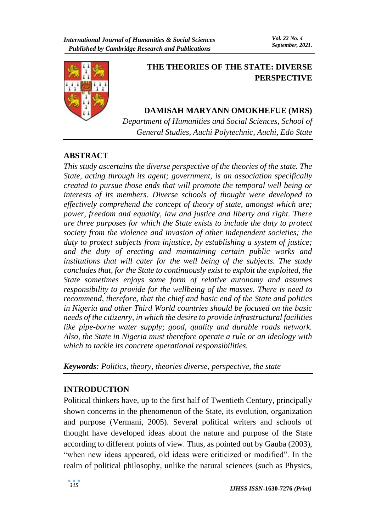

# **THE THEORIES OF THE STATE: DIVERSE PERSPECTIVE**

# **DAMISAH MARYANN OMOKHEFUE (MRS)**

*Department of Humanities and Social Sciences, School of General Studies, Auchi Polytechnic, Auchi, Edo State*

## **ABSTRACT**

*This study ascertains the diverse perspective of the theories of the state. The State, acting through its agent; government, is an association specifically created to pursue those ends that will promote the temporal well being or interests of its members. Diverse schools of thought were developed to effectively comprehend the concept of theory of state, amongst which are; power, freedom and equality, law and justice and liberty and right. There are three purposes for which the State exists to include the duty to protect society from the violence and invasion of other independent societies; the duty to protect subjects from injustice, by establishing a system of justice; and the duty of erecting and maintaining certain public works and institutions that will cater for the well being of the subjects. The study concludes that, for the State to continuously exist to exploit the exploited, the State sometimes enjoys some form of relative autonomy and assumes responsibility to provide for the wellbeing of the masses. There is need to recommend, therefore, that the chief and basic end of the State and politics in Nigeria and other Third World countries should be focused on the basic needs of the citizenry, in which the desire to provide infrastructural facilities like pipe-borne water supply; good, quality and durable roads network. Also, the State in Nigeria must therefore operate a rule or an ideology with which to tackle its concrete operational responsibilities.* 

## *Keywords: Politics, theory, theories diverse, perspective, the state*

## **INTRODUCTION**

Political thinkers have, up to the first half of Twentieth Century, principally shown concerns in the phenomenon of the State, its evolution, organization and purpose (Vermani, 2005). Several political writers and schools of thought have developed ideas about the nature and purpose of the State according to different points of view. Thus, as pointed out by Gauba (2003), "when new ideas appeared, old ideas were criticized or modified". In the realm of political philosophy, unlike the natural sciences (such as Physics,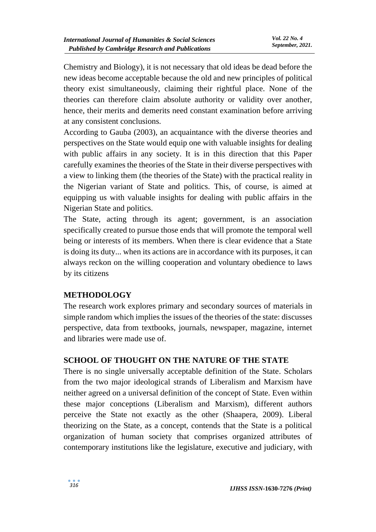Chemistry and Biology), it is not necessary that old ideas be dead before the new ideas become acceptable because the old and new principles of political theory exist simultaneously, claiming their rightful place. None of the theories can therefore claim absolute authority or validity over another, hence, their merits and demerits need constant examination before arriving at any consistent conclusions.

According to Gauba (2003), an acquaintance with the diverse theories and perspectives on the State would equip one with valuable insights for dealing with public affairs in any society. It is in this direction that this Paper carefully examines the theories of the State in their diverse perspectives with a view to linking them (the theories of the State) with the practical reality in the Nigerian variant of State and politics. This, of course, is aimed at equipping us with valuable insights for dealing with public affairs in the Nigerian State and politics.

The State, acting through its agent; government, is an association specifically created to pursue those ends that will promote the temporal well being or interests of its members. When there is clear evidence that a State is doing its duty... when its actions are in accordance with its purposes, it can always reckon on the willing cooperation and voluntary obedience to laws by its citizens

#### **METHODOLOGY**

The research work explores primary and secondary sources of materials in simple random which implies the issues of the theories of the state: discusses perspective, data from textbooks, journals, newspaper, magazine, internet and libraries were made use of.

#### **SCHOOL OF THOUGHT ON THE NATURE OF THE STATE**

There is no single universally acceptable definition of the State. Scholars from the two major ideological strands of Liberalism and Marxism have neither agreed on a universal definition of the concept of State. Even within these major conceptions (Liberalism and Marxism), different authors perceive the State not exactly as the other (Shaapera, 2009). Liberal theorizing on the State, as a concept, contends that the State is a political organization of human society that comprises organized attributes of contemporary institutions like the legislature, executive and judiciary, with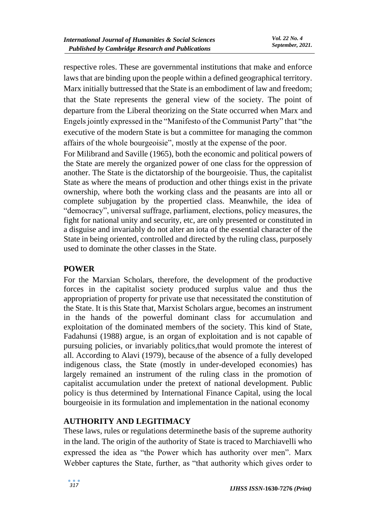respective roles. These are governmental institutions that make and enforce laws that are binding upon the people within a defined geographical territory. Marx initially buttressed that the State is an embodiment of law and freedom; that the State represents the general view of the society. The point of departure from the Liberal theorizing on the State occurred when Marx and Engels jointly expressed in the "Manifesto of the Communist Party" that "the executive of the modern State is but a committee for managing the common affairs of the whole bourgeoisie", mostly at the expense of the poor.

For Milibrand and Saville (1965), both the economic and political powers of the State are merely the organized power of one class for the oppression of another. The State is the dictatorship of the bourgeoisie. Thus, the capitalist State as where the means of production and other things exist in the private ownership, where both the working class and the peasants are into all or complete subjugation by the propertied class. Meanwhile, the idea of "democracy", universal suffrage, parliament, elections, policy measures, the fight for national unity and security, etc, are only presented or constituted in a disguise and invariably do not alter an iota of the essential character of the State in being oriented, controlled and directed by the ruling class, purposely used to dominate the other classes in the State.

## **POWER**

For the Marxian Scholars, therefore, the development of the productive forces in the capitalist society produced surplus value and thus the appropriation of property for private use that necessitated the constitution of the State. It is this State that, Marxist Scholars argue, becomes an instrument in the hands of the powerful dominant class for accumulation and exploitation of the dominated members of the society. This kind of State, Fadahunsi (1988) argue, is an organ of exploitation and is not capable of pursuing policies, or invariably politics,that would promote the interest of all. According to Alavi (1979), because of the absence of a fully developed indigenous class, the State (mostly in under-developed economies) has largely remained an instrument of the ruling class in the promotion of capitalist accumulation under the pretext of national development. Public policy is thus determined by International Finance Capital, using the local bourgeoisie in its formulation and implementation in the national economy

## **AUTHORITY AND LEGITIMACY**

These laws, rules or regulations determinethe basis of the supreme authority in the land. The origin of the authority of State is traced to Marchiavelli who expressed the idea as "the Power which has authority over men". Marx Webber captures the State, further, as "that authority which gives order to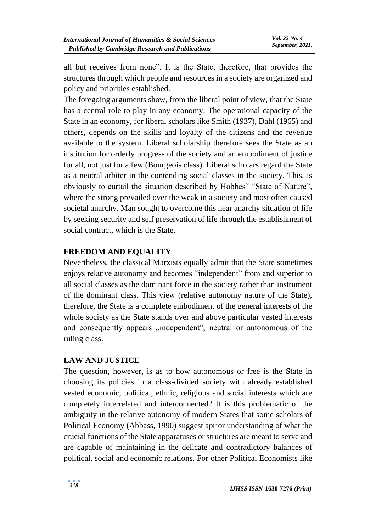all but receives from none". It is the State, therefore, that provides the structures through which people and resources in a society are organized and policy and priorities established.

The foregoing arguments show, from the liberal point of view, that the State has a central role to play in any economy. The operational capacity of the State in an economy, for liberal scholars like Smith (1937), Dahl (1965) and others, depends on the skills and loyalty of the citizens and the revenue available to the system. Liberal scholarship therefore sees the State as an institution for orderly progress of the society and an embodiment of justice for all, not just for a few (Bourgeois class). Liberal scholars regard the State as a neutral arbiter in the contending social classes in the society. This, is obviously to curtail the situation described by Hobbes" "State of Nature", where the strong prevailed over the weak in a society and most often caused societal anarchy. Man sought to overcome this near anarchy situation of life by seeking security and self preservation of life through the establishment of social contract, which is the State.

## **FREEDOM AND EQUALITY**

Nevertheless, the classical Marxists equally admit that the State sometimes enjoys relative autonomy and becomes "independent" from and superior to all social classes as the dominant force in the society rather than instrument of the dominant class. This view (relative autonomy nature of the State), therefore, the State is a complete embodiment of the general interests of the whole society as the State stands over and above particular vested interests and consequently appears "independent", neutral or autonomous of the ruling class.

#### **LAW AND JUSTICE**

The question, however, is as to how autonomous or free is the State in choosing its policies in a class-divided society with already established vested economic, political, ethnic, religious and social interests which are completely interrelated and interconnected? It is this problematic of the ambiguity in the relative autonomy of modern States that some scholars of Political Economy (Abbass, 1990) suggest aprior understanding of what the crucial functions of the State apparatuses or structures are meant to serve and are capable of maintaining in the delicate and contradictory balances of political, social and economic relations. For other Political Economists like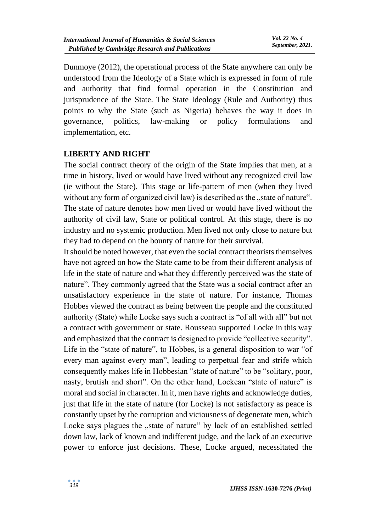Dunmoye (2012), the operational process of the State anywhere can only be understood from the Ideology of a State which is expressed in form of rule and authority that find formal operation in the Constitution and jurisprudence of the State. The State Ideology (Rule and Authority) thus points to why the State (such as Nigeria) behaves the way it does in governance, politics, law-making or policy formulations and implementation, etc.

#### **LIBERTY AND RIGHT**

The social contract theory of the origin of the State implies that men, at a time in history, lived or would have lived without any recognized civil law (ie without the State). This stage or life-pattern of men (when they lived without any form of organized civil law) is described as the "state of nature". The state of nature denotes how men lived or would have lived without the authority of civil law, State or political control. At this stage, there is no industry and no systemic production. Men lived not only close to nature but they had to depend on the bounty of nature for their survival.

It should be noted however, that even the social contract theorists themselves have not agreed on how the State came to be from their different analysis of life in the state of nature and what they differently perceived was the state of nature". They commonly agreed that the State was a social contract after an unsatisfactory experience in the state of nature. For instance, Thomas Hobbes viewed the contract as being between the people and the constituted authority (State) while Locke says such a contract is "of all with all" but not a contract with government or state. Rousseau supported Locke in this way and emphasized that the contract is designed to provide "collective security". Life in the "state of nature", to Hobbes, is a general disposition to war "of every man against every man", leading to perpetual fear and strife which consequently makes life in Hobbesian "state of nature" to be "solitary, poor, nasty, brutish and short". On the other hand, Lockean "state of nature" is moral and social in character. In it, men have rights and acknowledge duties, just that life in the state of nature (for Locke) is not satisfactory as peace is constantly upset by the corruption and viciousness of degenerate men, which Locke says plagues the "state of nature" by lack of an established settled down law, lack of known and indifferent judge, and the lack of an executive power to enforce just decisions. These, Locke argued, necessitated the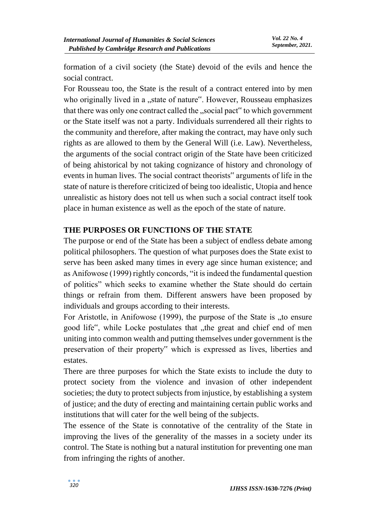formation of a civil society (the State) devoid of the evils and hence the social contract.

For Rousseau too, the State is the result of a contract entered into by men who originally lived in a "state of nature". However, Rousseau emphasizes that there was only one contract called the "social pact" to which government or the State itself was not a party. Individuals surrendered all their rights to the community and therefore, after making the contract, may have only such rights as are allowed to them by the General Will (i.e. Law). Nevertheless, the arguments of the social contract origin of the State have been criticized of being ahistorical by not taking cognizance of history and chronology of events in human lives. The social contract theorists" arguments of life in the state of nature is therefore criticized of being too idealistic, Utopia and hence unrealistic as history does not tell us when such a social contract itself took place in human existence as well as the epoch of the state of nature.

#### **THE PURPOSES OR FUNCTIONS OF THE STATE**

The purpose or end of the State has been a subject of endless debate among political philosophers. The question of what purposes does the State exist to serve has been asked many times in every age since human existence; and as Anifowose (1999) rightly concords, "it is indeed the fundamental question of politics" which seeks to examine whether the State should do certain things or refrain from them. Different answers have been proposed by individuals and groups according to their interests.

For Aristotle, in Anifowose (1999), the purpose of the State is "to ensure good life", while Locke postulates that "the great and chief end of men uniting into common wealth and putting themselves under government is the preservation of their property" which is expressed as lives, liberties and estates.

There are three purposes for which the State exists to include the duty to protect society from the violence and invasion of other independent societies; the duty to protect subjects from injustice, by establishing a system of justice; and the duty of erecting and maintaining certain public works and institutions that will cater for the well being of the subjects.

The essence of the State is connotative of the centrality of the State in improving the lives of the generality of the masses in a society under its control. The State is nothing but a natural institution for preventing one man from infringing the rights of another.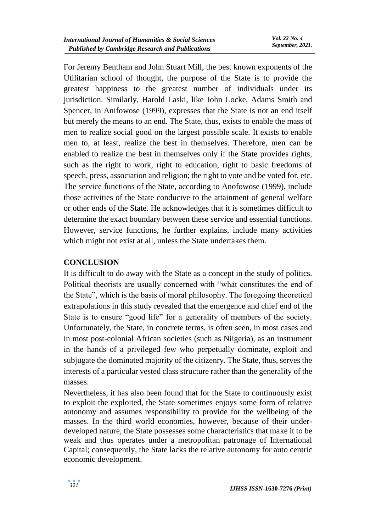For Jeremy Bentham and John Stuart Mill, the best known exponents of the Utilitarian school of thought, the purpose of the State is to provide the greatest happiness to the greatest number of individuals under its jurisdiction. Similarly, Harold Laski, like John Locke, Adams Smith and Spencer, in Anifowose (1999), expresses that the State is not an end itself but merely the means to an end. The State, thus, exists to enable the mass of men to realize social good on the largest possible scale. It exists to enable men to, at least, realize the best in themselves. Therefore, men can be enabled to realize the best in themselves only if the State provides rights, such as the right to work, right to education, right to basic freedoms of speech, press, association and religion; the right to vote and be voted for, etc. The service functions of the State, according to Anofowose (1999), include those activities of the State conducive to the attainment of general welfare or other ends of the State. He acknowledges that it is sometimes difficult to determine the exact boundary between these service and essential functions. However, service functions, he further explains, include many activities which might not exist at all, unless the State undertakes them.

# **CONCLUSION**

It is difficult to do away with the State as a concept in the study of politics. Political theorists are usually concerned with "what constitutes the end of the State", which is the basis of moral philosophy. The foregoing theoretical extrapolations in this study revealed that the emergence and chief end of the State is to ensure "good life" for a generality of members of the society. Unfortunately, the State, in concrete terms, is often seen, in most cases and in most post-colonial African societies (such as Niigeria), as an instrument in the hands of a privileged few who perpetually dominate, exploit and subjugate the dominated majority of the citizenry. The State, thus, serves the interests of a particular vested class structure rather than the generality of the masses.

Nevertheless, it has also been found that for the State to continuously exist to exploit the exploited, the State sometimes enjoys some form of relative autonomy and assumes responsibility to provide for the wellbeing of the masses. In the third world economies, however, because of their underdeveloped nature, the State possesses some characteristics that make it to be weak and thus operates under a metropolitan patronage of International Capital; consequently, the State lacks the relative autonomy for auto centric economic development.